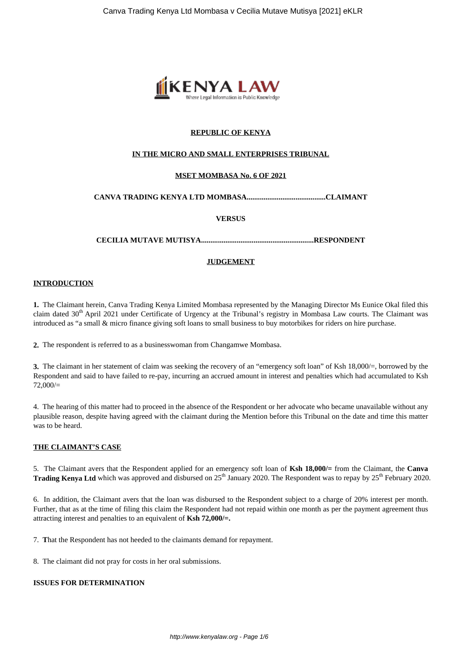

## **REPUBLIC OF KENYA**

## **IN THE MICRO AND SMALL ENTERPRISES TRIBUNAL**

## **MSET MOMBASA No. 6 OF 2021**

## **CANVA TRADING KENYA LTD MOMBASA..........................................CLAIMANT**

## **VERSUS**

**CECILIA MUTAVE MUTISYA............................................................RESPONDENT**

## **JUDGEMENT**

## **INTRODUCTION**

**1.** The Claimant herein, Canva Trading Kenya Limited Mombasa represented by the Managing Director Ms Eunice Okal filed this claim dated  $30<sup>th</sup>$  April 2021 under Certificate of Urgency at the Tribunal's registry in Mombasa Law courts. The Claimant was introduced as "a small & micro finance giving soft loans to small business to buy motorbikes for riders on hire purchase.

**2.** The respondent is referred to as a businesswoman from Changamwe Mombasa.

**3.** The claimant in her statement of claim was seeking the recovery of an "emergency soft loan" of Ksh 18,000/=, borrowed by the Respondent and said to have failed to re-pay, incurring an accrued amount in interest and penalties which had accumulated to Ksh 72,000/=

4. The hearing of this matter had to proceed in the absence of the Respondent or her advocate who became unavailable without any plausible reason, despite having agreed with the claimant during the Mention before this Tribunal on the date and time this matter was to be heard.

## **THE CLAIMANT'S CASE**

5. The Claimant avers that the Respondent applied for an emergency soft loan of **Ksh 18,000/=** from the Claimant, the **Canva Trading Kenya Ltd** which was approved and disbursed on 25<sup>th</sup> January 2020. The Respondent was to repay by 25<sup>th</sup> February 2020.

6. In addition, the Claimant avers that the loan was disbursed to the Respondent subject to a charge of 20% interest per month. Further, that as at the time of filing this claim the Respondent had not repaid within one month as per the payment agreement thus attracting interest and penalties to an equivalent of **Ksh 72,000/=.**

7. **T**hat the Respondent has not heeded to the claimants demand for repayment.

8. The claimant did not pray for costs in her oral submissions.

## **ISSUES FOR DETERMINATION**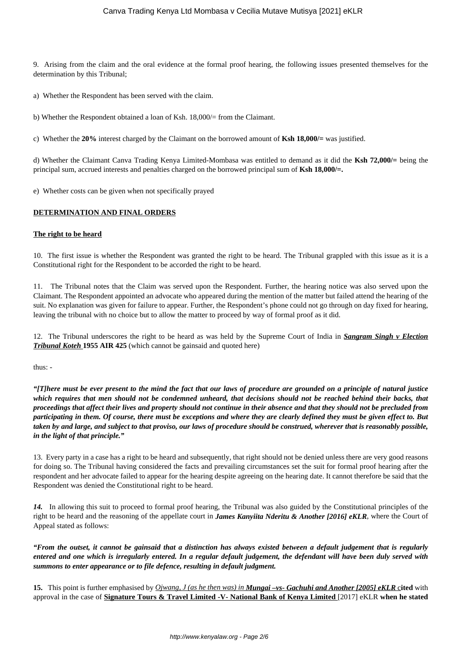9. Arising from the claim and the oral evidence at the formal proof hearing, the following issues presented themselves for the determination by this Tribunal;

a) Whether the Respondent has been served with the claim.

b) Whether the Respondent obtained a loan of Ksh. 18,000/= from the Claimant.

c) Whether the **20%** interest charged by the Claimant on the borrowed amount of **Ksh 18,000/=** was justified.

d) Whether the Claimant Canva Trading Kenya Limited-Mombasa was entitled to demand as it did the **Ksh 72,000/=** being the principal sum, accrued interests and penalties charged on the borrowed principal sum of **Ksh 18,000/=.**

e) Whether costs can be given when not specifically prayed

### **DETERMINATION AND FINAL ORDERS**

### **The right to be heard**

10. The first issue is whether the Respondent was granted the right to be heard. The Tribunal grappled with this issue as it is a Constitutional right for the Respondent to be accorded the right to be heard.

11. The Tribunal notes that the Claim was served upon the Respondent. Further, the hearing notice was also served upon the Claimant. The Respondent appointed an advocate who appeared during the mention of the matter but failed attend the hearing of the suit. No explanation was given for failure to appear. Further, the Respondent's phone could not go through on day fixed for hearing, leaving the tribunal with no choice but to allow the matter to proceed by way of formal proof as it did.

12. The Tribunal underscores the right to be heard as was held by the Supreme Court of India in *Sangram Singh v Election Tribunal Koteh* **1955 AIR 425** (which cannot be gainsaid and quoted here)

thus: -

*"[T]here must be ever present to the mind the fact that our laws of procedure are grounded on a principle of natural justice which requires that men should not be condemned unheard, that decisions should not be reached behind their backs, that proceedings that affect their lives and property should not continue in their absence and that they should not be precluded from participating in them. Of course, there must be exceptions and where they are clearly defined they must be given effect to. But taken by and large, and subject to that proviso, our laws of procedure should be construed, wherever that is reasonably possible, in the light of that principle."*

13. Every party in a case has a right to be heard and subsequently, that right should not be denied unless there are very good reasons for doing so. The Tribunal having considered the facts and prevailing circumstances set the suit for formal proof hearing after the respondent and her advocate failed to appear for the hearing despite agreeing on the hearing date. It cannot therefore be said that the Respondent was denied the Constitutional right to be heard.

*14.* In allowing this suit to proceed to formal proof hearing, the Tribunal was also guided by the Constitutional principles of the right to be heard and the reasoning of the appellate court in *James Kanyiita Nderitu & Another [2016] eKLR*, where the Court of Appeal stated as follows:

*"From the outset, it cannot be gainsaid that a distinction has always existed between a default judgement that is regularly entered and one which is irregularly entered. In a regular default judgement, the defendant will have been duly served with summons to enter appearance or to file defence, resulting in default judgment.*

**15.** This point is further emphasised by *Ojwang, J (as he then was) in Mungai –vs- Gachuhi and Another [2005] eKLR* c**ited** with approval in the case of **Signature Tours & Travel Limited -V- National Bank of Kenya Limited** [2017] eKLR **when he stated**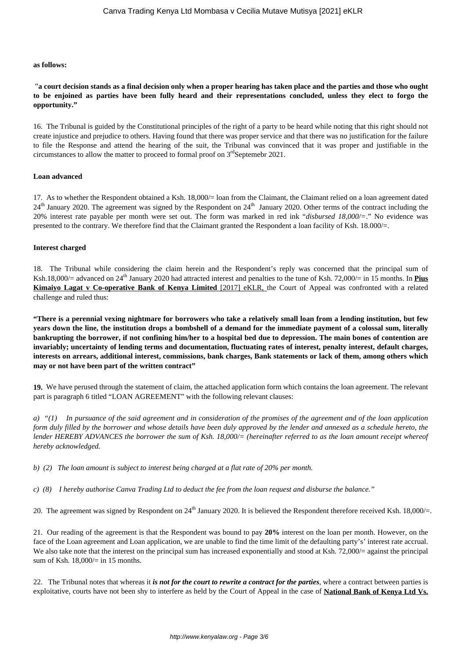#### **as follows:**

"**a court decision stands as a final decision only when a proper hearing has taken place and the parties and those who ought to be enjoined as parties have been fully heard and their representations concluded, unless they elect to forgo the opportunity."**

16. The Tribunal is guided by the Constitutional principles of the right of a party to be heard while noting that this right should not create injustice and prejudice to others. Having found that there was proper service and that there was no justification for the failure to file the Response and attend the hearing of the suit, the Tribunal was convinced that it was proper and justifiable in the circumstances to allow the matter to proceed to formal proof on  $3<sup>rd</sup>$ Septemebr 2021.

#### **Loan advanced**

17. As to whether the Respondent obtained a Ksh. 18,000/= loan from the Claimant, the Claimant relied on a loan agreement dated 24<sup>th</sup> January 2020. The agreement was signed by the Respondent on 24<sup>th</sup> January 2020. Other terms of the contract including the 20% interest rate payable per month were set out. The form was marked in red ink "*disbursed 18,000/=*." No evidence was presented to the contrary. We therefore find that the Claimant granted the Respondent a loan facility of Ksh. 18.000/=.

#### **Interest charged**

18. The Tribunal while considering the claim herein and the Respondent's reply was concerned that the principal sum of Ksh.18,000/= advanced on 24<sup>th</sup> January 2020 had attracted interest and penalties to the tune of Ksh. 72,000/= in 15 months. In **Pius Kimaiyo Lagat v Co-operative Bank of Kenya Limited** [2017] eKLR, the Court of Appeal was confronted with a related challenge and ruled thus:

**"There is a perennial vexing nightmare for borrowers who take a relatively small loan from a lending institution, but few years down the line, the institution drops a bombshell of a demand for the immediate payment of a colossal sum, literally bankrupting the borrower, if not confining him/her to a hospital bed due to depression. The main bones of contention are invariably; uncertainty of lending terms and documentation, fluctuating rates of interest, penalty interest, default charges, interests on arrears, additional interest, commissions, bank charges, Bank statements or lack of them, among others which may or not have been part of the written contract"**

**19.** We have perused through the statement of claim, the attached application form which contains the loan agreement. The relevant part is paragraph 6 titled "LOAN AGREEMENT" with the following relevant clauses:

*a) "(1) In pursuance of the said agreement and in consideration of the promises of the agreement and of the loan application form duly filled by the borrower and whose details have been duly approved by the lender and annexed as a schedule hereto, the lender HEREBY ADVANCES the borrower the sum of Ksh. 18,000/= (hereinafter referred to as the loan amount receipt whereof hereby acknowledged.*

*b) (2) The loan amount is subject to interest being charged at a flat rate of 20% per month.* 

*c) (8) I hereby authorise Canva Trading Ltd to deduct the fee from the loan request and disburse the balance."* 

20. The agreement was signed by Respondent on  $24^{th}$  January 2020. It is believed the Respondent therefore received Ksh. 18,000/=.

21. Our reading of the agreement is that the Respondent was bound to pay **20%** interest on the loan per month. However, on the face of the Loan agreement and Loan application, we are unable to find the time limit of the defaulting party's' interest rate accrual. We also take note that the interest on the principal sum has increased exponentially and stood at Ksh. 72,000/= against the principal sum of Ksh.  $18,000/=$  in 15 months.

22. The Tribunal notes that whereas it *is not for the court to rewrite a contract for the parties*, where a contract between parties is exploitative, courts have not been shy to interfere as held by the Court of Appeal in the case of **National Bank of Kenya Ltd Vs.**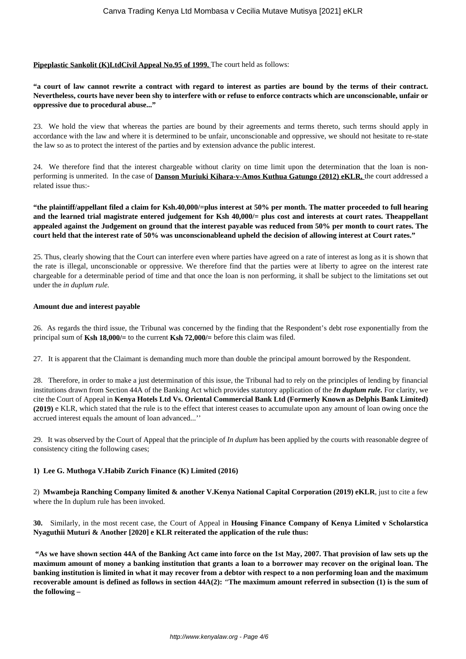## **Pipeplastic Sankolit (K)LtdCivil Appeal No.95 of 1999.** The court held as follows:

**"a court of law cannot rewrite a contract with regard to interest as parties are bound by the terms of their contract. Nevertheless, courts have never been shy to interfere with or refuse to enforce contracts which are unconscionable, unfair or oppressive due to procedural abuse..."**

23. We hold the view that whereas the parties are bound by their agreements and terms thereto, such terms should apply in accordance with the law and where it is determined to be unfair, unconscionable and oppressive, we should not hesitate to re-state the law so as to protect the interest of the parties and by extension advance the public interest.

24. We therefore find that the interest chargeable without clarity on time limit upon the determination that the loan is nonperforming is unmerited. In the case of **Danson Muriuki Kihara-v-Amos Kuthua Gatungo (2012) eKLR,** the court addressed a related issue thus:-

**"the plaintiff/appellant filed a claim for Ksh.40,000/=plus interest at 50% per month. The matter proceeded to full hearing and the learned trial magistrate entered judgement for Ksh 40,000/= plus cost and interests at court rates. Theappellant appealed against the Judgement on ground that the interest payable was reduced from 50% per month to court rates. The court held that the interest rate of 50% was unconscionableand upheld the decision of allowing interest at Court rates."**

25. Thus, clearly showing that the Court can interfere even where parties have agreed on a rate of interest as long as it is shown that the rate is illegal, unconscionable or oppressive. We therefore find that the parties were at liberty to agree on the interest rate chargeable for a determinable period of time and that once the loan is non performing, it shall be subject to the limitations set out under the *in duplum rule.* 

### **Amount due and interest payable**

26. As regards the third issue, the Tribunal was concerned by the finding that the Respondent's debt rose exponentially from the principal sum of **Ksh 18,000/=** to the current **Ksh 72,000/=** before this claim was filed.

27. It is apparent that the Claimant is demanding much more than double the principal amount borrowed by the Respondent.

28. Therefore, in order to make a just determination of this issue, the Tribunal had to rely on the principles of lending by financial institutions drawn from Section 44A of the Banking Act which provides statutory application of the *In duplum rule.* For clarity, we cite the Court of Appeal in **Kenya Hotels Ltd Vs. Oriental Commercial Bank Ltd (Formerly Known as Delphis Bank Limited) (2019)** e KLR, which stated that the rule is to the effect that interest ceases to accumulate upon any amount of loan owing once the accrued interest equals the amount of loan advanced...''

29. It was observed by the Court of Appeal that the principle of *In duplum* has been applied by the courts with reasonable degree of consistency citing the following cases;

## **1) Lee G. Muthoga V.Habib Zurich Finance (K) Limited (2016)**

2) **Mwambeja Ranching Company limited & another V.Kenya National Capital Corporation (2019) eKLR**, just to cite a few where the In duplum rule has been invoked.

**30.** Similarly, in the most recent case, the Court of Appeal in **Housing Finance Company of Kenya Limited v Scholarstica Nyaguthii Muturi & Another [2020] e KLR reiterated the application of the rule thus:** 

**"As we have shown section 44A of the Banking Act came into force on the 1st May, 2007. That provision of law sets up the maximum amount of money a banking institution that grants a loan to a borrower may recover on the original loan. The banking institution is limited in what it may recover from a debtor with respect to a non performing loan and the maximum recoverable amount is defined as follows in section 44A(2):** *"***The maximum amount referred in subsection (1) is the sum of the following –**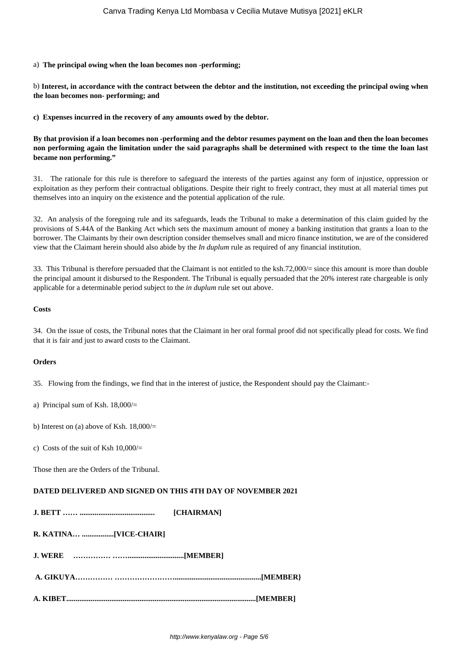#### a) **The principal owing when the loan becomes non -performing;**

b) **Interest, in accordance with the contract between the debtor and the institution, not exceeding the principal owing when the loan becomes non- performing; and**

**c) Expenses incurred in the recovery of any amounts owed by the debtor.**

**By that provision if a loan becomes non -performing and the debtor resumes payment on the loan and then the loan becomes non performing again the limitation under the said paragraphs shall be determined with respect to the time the loan last became non performing."**

31. The rationale for this rule is therefore to safeguard the interests of the parties against any form of injustice, oppression or exploitation as they perform their contractual obligations. Despite their right to freely contract, they must at all material times put themselves into an inquiry on the existence and the potential application of the rule.

32. An analysis of the foregoing rule and its safeguards, leads the Tribunal to make a determination of this claim guided by the provisions of S.44A of the Banking Act which sets the maximum amount of money a banking institution that grants a loan to the borrower. The Claimants by their own description consider themselves small and micro finance institution, we are of the considered view that the Claimant herein should also abide by the *In duplum* rule as required of any financial institution.

33. This Tribunal is therefore persuaded that the Claimant is not entitled to the ksh.72,000/= since this amount is more than double the principal amount it disbursed to the Respondent. The Tribunal is equally persuaded that the 20% interest rate chargeable is only applicable for a determinable period subject to the *in duplum* rule set out above.

### **Costs**

34. On the issue of costs, the Tribunal notes that the Claimant in her oral formal proof did not specifically plead for costs. We find that it is fair and just to award costs to the Claimant.

## **Orders**

35. Flowing from the findings, we find that in the interest of justice, the Respondent should pay the Claimant:-

a) Principal sum of Ksh. 18,000/=

b) Interest on (a) above of Ksh.  $18,000/$ =

c) Costs of the suit of Ksh  $10,000/$ 

Those then are the Orders of the Tribunal.

## **DATED DELIVERED AND SIGNED ON THIS 4TH DAY OF NOVEMBER 2021**

| <b>ICHAIRMANI</b> |
|-------------------|
|                   |
|                   |
|                   |
|                   |